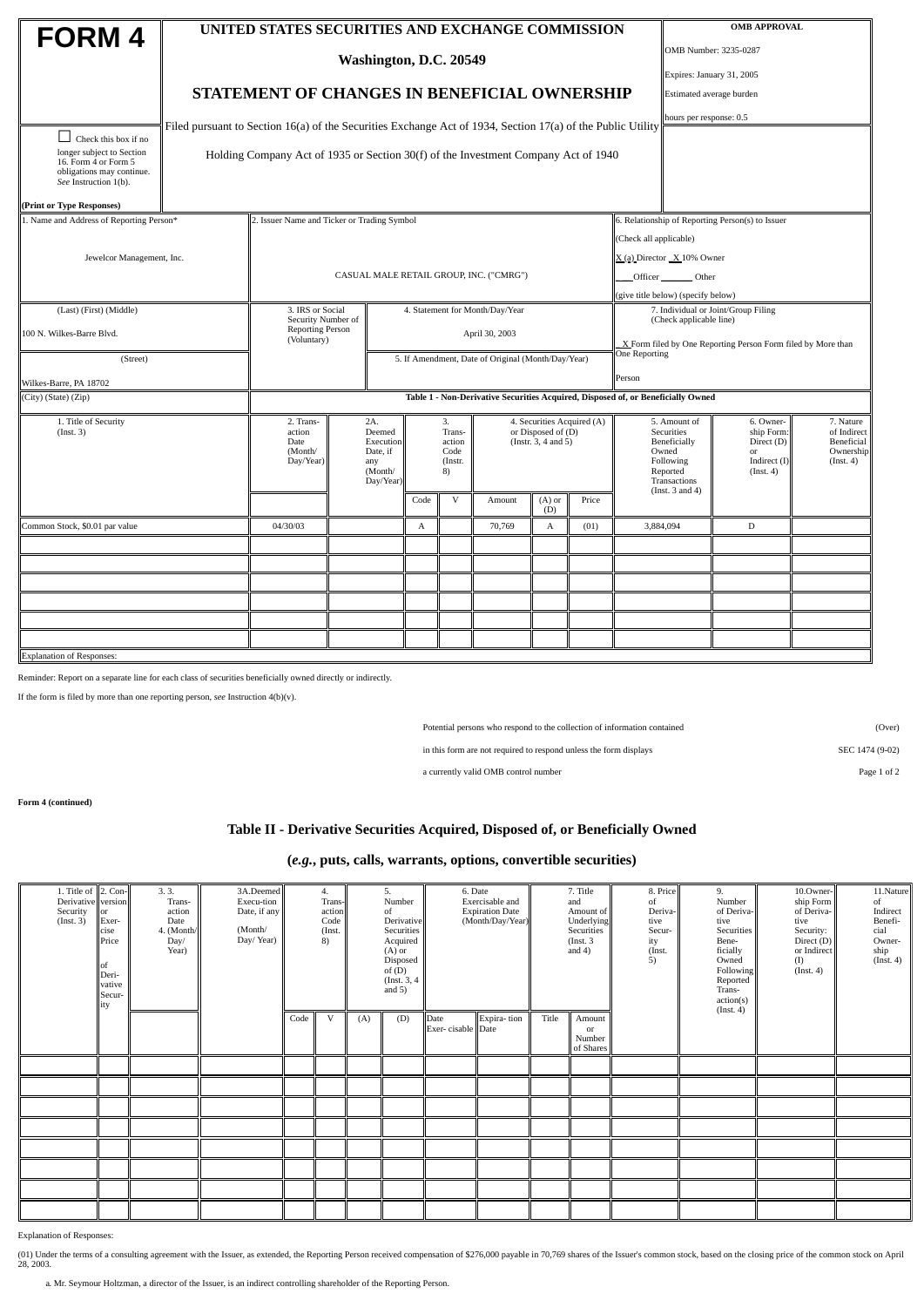|                                                                                                         |                                                                                  | UNITED STATES SECURITIES AND EXCHANGE COMMISSION                                                            |                                                                       |                                                 | <b>OMB APPROVAL</b> |                                                                         |        |                          |                                                                                                                      |                             |                                                                          |                                                                  |  |  |  |
|---------------------------------------------------------------------------------------------------------|----------------------------------------------------------------------------------|-------------------------------------------------------------------------------------------------------------|-----------------------------------------------------------------------|-------------------------------------------------|---------------------|-------------------------------------------------------------------------|--------|--------------------------|----------------------------------------------------------------------------------------------------------------------|-----------------------------|--------------------------------------------------------------------------|------------------------------------------------------------------|--|--|--|
| FORM 4                                                                                                  |                                                                                  |                                                                                                             |                                                                       |                                                 |                     |                                                                         |        |                          |                                                                                                                      | OMB Number: 3235-0287       |                                                                          |                                                                  |  |  |  |
|                                                                                                         | Washington, D.C. 20549                                                           |                                                                                                             |                                                                       |                                                 |                     |                                                                         |        |                          |                                                                                                                      |                             | Expires: January 31, 2005                                                |                                                                  |  |  |  |
|                                                                                                         | <b>STATEMENT OF CHANGES IN BENEFICIAL OWNERSHIP</b>                              |                                                                                                             |                                                                       |                                                 |                     |                                                                         |        | Estimated average burden |                                                                                                                      |                             |                                                                          |                                                                  |  |  |  |
|                                                                                                         |                                                                                  |                                                                                                             |                                                                       |                                                 |                     |                                                                         |        |                          |                                                                                                                      |                             |                                                                          | hours per response: 0.5                                          |  |  |  |
| Check this box if no                                                                                    |                                                                                  | Filed pursuant to Section 16(a) of the Securities Exchange Act of 1934, Section 17(a) of the Public Utility |                                                                       |                                                 |                     |                                                                         |        |                          |                                                                                                                      |                             |                                                                          |                                                                  |  |  |  |
| longer subject to Section<br>16. Form 4 or Form 5<br>obligations may continue.<br>See Instruction 1(b). |                                                                                  | Holding Company Act of 1935 or Section 30(f) of the Investment Company Act of 1940                          |                                                                       |                                                 |                     |                                                                         |        |                          |                                                                                                                      |                             |                                                                          |                                                                  |  |  |  |
| (Print or Type Responses)                                                                               |                                                                                  |                                                                                                             |                                                                       |                                                 |                     |                                                                         |        |                          |                                                                                                                      |                             |                                                                          |                                                                  |  |  |  |
| 1. Name and Address of Reporting Person*                                                                |                                                                                  | 2. Issuer Name and Ticker or Trading Symbol                                                                 |                                                                       |                                                 |                     |                                                                         |        |                          |                                                                                                                      |                             |                                                                          | 6. Relationship of Reporting Person(s) to Issuer                 |  |  |  |
|                                                                                                         | (Check all applicable)                                                           |                                                                                                             |                                                                       |                                                 |                     |                                                                         |        |                          |                                                                                                                      |                             |                                                                          |                                                                  |  |  |  |
| Jewelcor Management, Inc.                                                                               |                                                                                  |                                                                                                             |                                                                       |                                                 |                     |                                                                         |        |                          |                                                                                                                      | X (a) Director _X 10% Owner |                                                                          |                                                                  |  |  |  |
|                                                                                                         |                                                                                  |                                                                                                             |                                                                       |                                                 |                     | CASUAL MALE RETAIL GROUP, INC. ("CMRG")                                 |        |                          |                                                                                                                      | Officer Other               |                                                                          |                                                                  |  |  |  |
| (Last) (First) (Middle)                                                                                 | 3. IRS or Social<br>4. Statement for Month/Day/Year                              |                                                                                                             |                                                                       |                                                 |                     |                                                                         |        |                          | (give title below) (specify below)<br>7. Individual or Joint/Group Filing                                            |                             |                                                                          |                                                                  |  |  |  |
| 100 N. Wilkes-Barre Blvd.                                                                               | Security Number of<br>Reporting Person                                           |                                                                                                             | April 30, 2003                                                        |                                                 |                     |                                                                         |        |                          | (Check applicable line)                                                                                              |                             |                                                                          |                                                                  |  |  |  |
|                                                                                                         | (Voluntary)<br>5. If Amendment, Date of Original (Month/Day/Year)                |                                                                                                             |                                                                       |                                                 |                     |                                                                         |        | <b>One Reporting</b>     | X Form filed by One Reporting Person Form filed by More than                                                         |                             |                                                                          |                                                                  |  |  |  |
| (Street)                                                                                                | Person                                                                           |                                                                                                             |                                                                       |                                                 |                     |                                                                         |        |                          |                                                                                                                      |                             |                                                                          |                                                                  |  |  |  |
| Wilkes-Barre, PA 18702                                                                                  | Table 1 - Non-Derivative Securities Acquired, Disposed of, or Beneficially Owned |                                                                                                             |                                                                       |                                                 |                     |                                                                         |        |                          |                                                                                                                      |                             |                                                                          |                                                                  |  |  |  |
| (City) (State) (Zip)                                                                                    |                                                                                  |                                                                                                             |                                                                       |                                                 |                     |                                                                         |        |                          |                                                                                                                      |                             |                                                                          |                                                                  |  |  |  |
| 1. Title of Security<br>(Inst. 3)                                                                       | 2. Trans-<br>action<br>Date<br>(Month/<br>Day/Year)                              |                                                                                                             | 2A.<br>Deemed<br>Execution<br>Date, if<br>any<br>(Month/<br>Day/Year) | 3.<br>Trans-<br>action<br>Code<br>(Instr.<br>8) |                     | 4. Securities Acquired (A)<br>or Disposed of (D)<br>(Instr. 3, 4 and 5) |        |                          | 5. Amount of<br>Securities<br>Beneficially<br>Owned<br>Following<br>Reported<br>Transactions<br>(Inst. $3$ and $4$ ) |                             | 6. Owner-<br>ship Form:<br>Direct (D)<br>or<br>Indirect (I)<br>(Inst. 4) | 7. Nature<br>of Indirect<br>Beneficial<br>Ownership<br>(Inst. 4) |  |  |  |
|                                                                                                         |                                                                                  |                                                                                                             |                                                                       |                                                 | Code                | V                                                                       | Amount | $(A)$ or<br>(D)          | Price                                                                                                                |                             |                                                                          |                                                                  |  |  |  |
| Common Stock, \$0.01 par value                                                                          |                                                                                  | 04/30/03                                                                                                    |                                                                       |                                                 | $\mathbf{A}$        |                                                                         | 70,769 | $\mathbf{A}$             | (01)                                                                                                                 | 3,884,094                   |                                                                          | D                                                                |  |  |  |
|                                                                                                         |                                                                                  |                                                                                                             |                                                                       |                                                 |                     |                                                                         |        |                          |                                                                                                                      |                             |                                                                          |                                                                  |  |  |  |
|                                                                                                         |                                                                                  |                                                                                                             |                                                                       |                                                 |                     |                                                                         |        |                          |                                                                                                                      |                             |                                                                          |                                                                  |  |  |  |
|                                                                                                         |                                                                                  |                                                                                                             |                                                                       |                                                 |                     |                                                                         |        |                          |                                                                                                                      |                             |                                                                          |                                                                  |  |  |  |
|                                                                                                         |                                                                                  |                                                                                                             |                                                                       |                                                 |                     |                                                                         |        |                          |                                                                                                                      |                             |                                                                          |                                                                  |  |  |  |
|                                                                                                         |                                                                                  |                                                                                                             |                                                                       |                                                 |                     |                                                                         |        |                          |                                                                                                                      |                             |                                                                          |                                                                  |  |  |  |
| Explanation of Responses:                                                                               |                                                                                  |                                                                                                             |                                                                       |                                                 |                     |                                                                         |        |                          |                                                                                                                      |                             |                                                                          |                                                                  |  |  |  |

Reminder: Report on a separate line for each class of securities beneficially owned directly or indirectly.

If the form is filed by more than one reporting person, *see* Instruction 4(b)(v).

Potential persons who respond to the collection of information contained (Over)

in this form are not required to respond unless the form displays SEC 1474 (9-02)

a currently valid OMB control number Page 1 of 2

**Form 4 (continued)**

## **Table II - Derivative Securities Acquired, Disposed of, or Beneficially Owned**

## **(***e.g.***, puts, calls, warrants, options, convertible securities)**

| 1. Title of $\ $ 2. Con- $\ $ |                | 3.3.           | 3A.Deemed    | 4.   |                | 5.     | 6. Date           |                                           |                  | 7. Title | 8. Price                | 9.              | 10.Owner-           | 11.Nature          |                   |
|-------------------------------|----------------|----------------|--------------|------|----------------|--------|-------------------|-------------------------------------------|------------------|----------|-------------------------|-----------------|---------------------|--------------------|-------------------|
| Derivative version            |                | Trans-         | Execu-tion   |      | Trans-         | Number |                   | Exercisable and<br><b>Expiration Date</b> |                  | and      |                         | of              | Number              | ship Form          | of<br>Indirect    |
| Security<br>(Inst. 3)         | lor<br>Exer-   | action<br>Date | Date, if any |      | action<br>Code |        | of<br>Derivativel |                                           | (Month/Day/Year) |          | Amount of<br>Underlying | Deriva-<br>tive | of Deriva-<br>tive  | of Deriva-<br>tive | Benefi-           |
|                               | cise           | 4. (Month/     | (Month/      |      | (Inst.         |        | Securities        |                                           |                  |          | Securities              | Secur-          | Securities          | Security:          | cial              |
|                               | Price          | Day/           | Day/Year)    |      | 8)             |        | Acquired          |                                           |                  |          | (Inst. 3)               | ity             | Bene-               | Direct $(D)$       | Owner-            |
|                               |                | Year)          |              |      |                |        | $(A)$ or          |                                           |                  |          | and $4$ )               | (Inst.          | ficially            | or Indirect        |                   |
|                               | lof            |                |              |      |                |        | Disposed          |                                           |                  |          |                         | 5)              | Owned               | (I)                | ship<br>(Inst. 4) |
|                               | Deri-          |                |              |      |                |        | of(D)             |                                           |                  |          |                         |                 | Following           | (Inst. 4)          |                   |
|                               | <b>v</b> ative |                |              |      |                |        | (Inst. 3, 4       |                                           |                  |          |                         |                 | Reported            |                    |                   |
|                               | Secur-         |                |              |      |                |        | and $5)$          |                                           |                  |          |                         |                 | Trans-<br>action(s) |                    |                   |
|                               | ity            |                |              |      |                |        |                   |                                           |                  |          |                         |                 | (Inst. 4)           |                    |                   |
|                               |                |                |              | Code | $\mathbf{V}$   | (A)    | (D)               | Date                                      | Expira-tion      | Title    | Amount                  |                 |                     |                    |                   |
|                               |                |                |              |      |                |        |                   | Exer-cisable Date                         |                  |          | or                      |                 |                     |                    |                   |
|                               |                |                |              |      |                |        |                   |                                           |                  |          | Number                  |                 |                     |                    |                   |
|                               |                |                |              |      |                |        |                   |                                           |                  |          | of Shares               |                 |                     |                    |                   |
|                               |                |                |              |      |                |        |                   |                                           |                  |          |                         |                 |                     |                    |                   |
|                               |                |                |              |      |                |        |                   |                                           |                  |          |                         |                 |                     |                    |                   |
|                               |                |                |              |      |                |        |                   |                                           |                  |          |                         |                 |                     |                    |                   |
|                               |                |                |              |      |                |        |                   |                                           |                  |          |                         |                 |                     |                    |                   |
|                               |                |                |              |      |                |        |                   |                                           |                  |          |                         |                 |                     |                    |                   |
|                               |                |                |              |      |                |        |                   |                                           |                  |          |                         |                 |                     |                    |                   |
|                               |                |                |              |      |                |        |                   |                                           |                  |          |                         |                 |                     |                    |                   |
|                               |                |                |              |      |                |        |                   |                                           |                  |          |                         |                 |                     |                    |                   |
|                               |                |                |              |      |                |        |                   |                                           |                  |          |                         |                 |                     |                    |                   |
|                               |                |                |              |      |                |        |                   |                                           |                  |          |                         |                 |                     |                    |                   |

Explanation of Responses:

(01) Under the terms of a consulting agreement with the Issuer, as extended, the Reporting Person received compensation of \$276,000 payable in 70,769 shares of the Issuer's common stock, based on the closing price of the c

a. Mr. Seymour Holtzman, a director of the Issuer, is an indirect controlling shareholder of the Reporting Person.